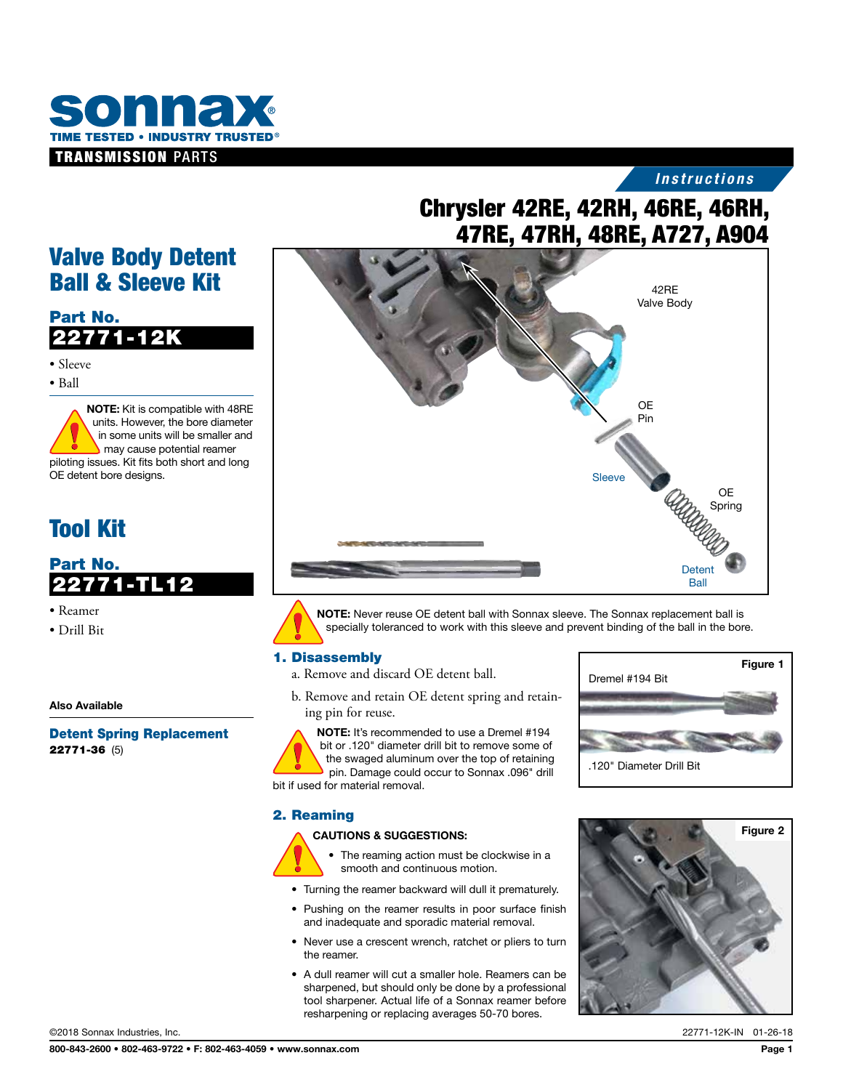

## *Instructions*

# Chrysler 42RE, 42RH, 46RE, 46RH, 47RE, 47RH, 48RE, A727, A904



NOTE: Never reuse OE detent ball with Sonnax sleeve. The Sonnax replacement ball is specially toleranced to work with this sleeve and prevent binding of the ball in the bore.

## 1. Disassembly

a. Remove and discard OE detent ball.

b. Remove and retain OE detent spring and retaining pin for reuse.

NOTE: It's recommended to use a Dremel #194 bit or .120" diameter drill bit to remove some of the swaged aluminum over the top of retaining pin. Damage could occur to Sonnax .096" drill bit if used for material removal.

### 2. Reaming

#### CAUTIONS & SUGGESTIONS:



- The reaming action must be clockwise in a smooth and continuous motion.
- Turning the reamer backward will dull it prematurely.
- Pushing on the reamer results in poor surface finish and inadequate and sporadic material removal.
- Never use a crescent wrench, ratchet or pliers to turn the reamer.
- A dull reamer will cut a smaller hole. Reamers can be sharpened, but should only be done by a professional tool sharpener. Actual life of a Sonnax reamer before resharpening or replacing averages 50-70 bores.



Dremel #194 Bit

.120" Diameter Drill Bit

# Valve Body Detent Ball & Sleeve Kit

## Part No. 22771-12K

• Sleeve

• Ball

NOTE: Kit is compatible with 48RE units. However, the bore diameter in some units will be smaller and may cause potential reamer piloting issues. Kit fits both short and long OE detent bore designs.

# Tool Kit

Part No. 22771-TL12

- Reamer
- Drill Bit

Also Available

Detent Spring Replacement 22771-36 (5)

Figure 1